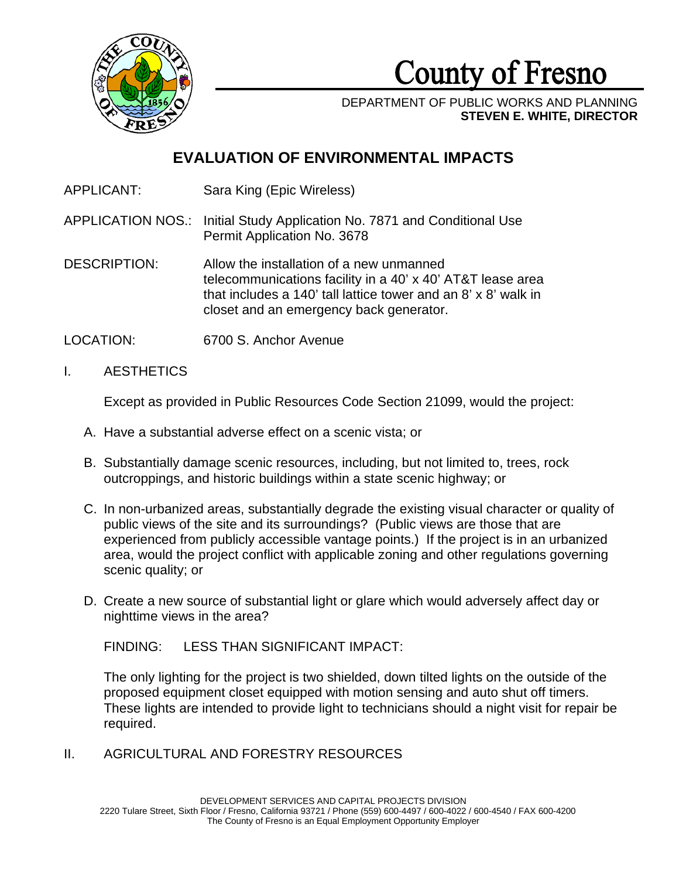

County of Fresno

DEPARTMENT OF PUBLIC WORKS AND PLANNING **STEVEN E. WHITE, DIRECTOR**

# **EVALUATION OF ENVIRONMENTAL IMPACTS**

APPLICANT: Sara King (Epic Wireless)

APPLICATION NOS.: Initial Study Application No. 7871 and Conditional Use Permit Application No. 3678

DESCRIPTION: Allow the installation of a new unmanned telecommunications facility in a 40' x 40' AT&T lease area that includes a 140' tall lattice tower and an 8' x 8' walk in closet and an emergency back generator.

- LOCATION: 6700 S. Anchor Avenue
- I. AESTHETICS

Except as provided in Public Resources Code Section 21099, would the project:

- A. Have a substantial adverse effect on a scenic vista; or
- B. Substantially damage scenic resources, including, but not limited to, trees, rock outcroppings, and historic buildings within a state scenic highway; or
- C. In non-urbanized areas, substantially degrade the existing visual character or quality of public views of the site and its surroundings? (Public views are those that are experienced from publicly accessible vantage points.) If the project is in an urbanized area, would the project conflict with applicable zoning and other regulations governing scenic quality; or
- D. Create a new source of substantial light or glare which would adversely affect day or nighttime views in the area?

FINDING: LESS THAN SIGNIFICANT IMPACT:

The only lighting for the project is two shielded, down tilted lights on the outside of the proposed equipment closet equipped with motion sensing and auto shut off timers. These lights are intended to provide light to technicians should a night visit for repair be required.

II. AGRICULTURAL AND FORESTRY RESOURCES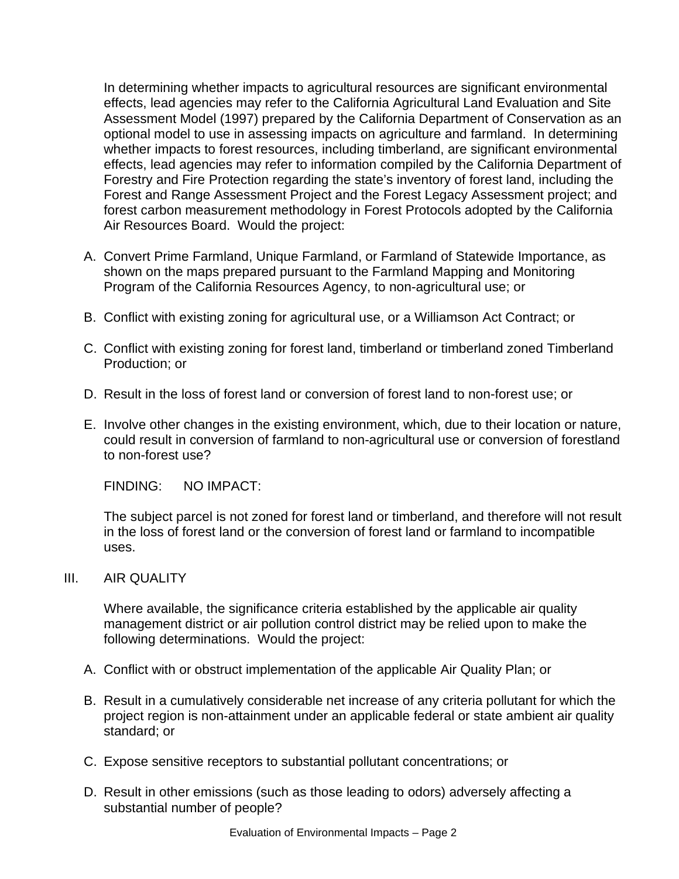In determining whether impacts to agricultural resources are significant environmental effects, lead agencies may refer to the California Agricultural Land Evaluation and Site Assessment Model (1997) prepared by the California Department of Conservation as an optional model to use in assessing impacts on agriculture and farmland. In determining whether impacts to forest resources, including timberland, are significant environmental effects, lead agencies may refer to information compiled by the California Department of Forestry and Fire Protection regarding the state's inventory of forest land, including the Forest and Range Assessment Project and the Forest Legacy Assessment project; and forest carbon measurement methodology in Forest Protocols adopted by the California Air Resources Board. Would the project:

- A. Convert Prime Farmland, Unique Farmland, or Farmland of Statewide Importance, as shown on the maps prepared pursuant to the Farmland Mapping and Monitoring Program of the California Resources Agency, to non-agricultural use; or
- B. Conflict with existing zoning for agricultural use, or a Williamson Act Contract; or
- C. Conflict with existing zoning for forest land, timberland or timberland zoned Timberland Production; or
- D. Result in the loss of forest land or conversion of forest land to non-forest use; or
- E. Involve other changes in the existing environment, which, due to their location or nature, could result in conversion of farmland to non-agricultural use or conversion of forestland to non-forest use?

FINDING: NO IMPACT:

The subject parcel is not zoned for forest land or timberland, and therefore will not result in the loss of forest land or the conversion of forest land or farmland to incompatible uses.

#### III. AIR QUALITY

Where available, the significance criteria established by the applicable air quality management district or air pollution control district may be relied upon to make the following determinations. Would the project:

- A. Conflict with or obstruct implementation of the applicable Air Quality Plan; or
- B. Result in a cumulatively considerable net increase of any criteria pollutant for which the project region is non-attainment under an applicable federal or state ambient air quality standard; or
- C. Expose sensitive receptors to substantial pollutant concentrations; or
- D. Result in other emissions (such as those leading to odors) adversely affecting a substantial number of people?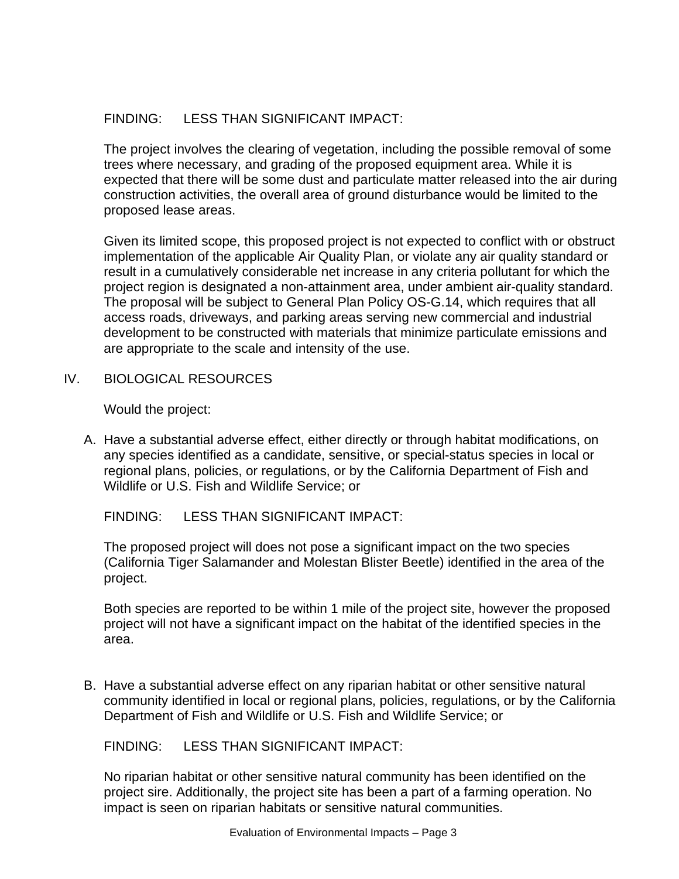## FINDING: LESS THAN SIGNIFICANT IMPACT:

The project involves the clearing of vegetation, including the possible removal of some trees where necessary, and grading of the proposed equipment area. While it is expected that there will be some dust and particulate matter released into the air during construction activities, the overall area of ground disturbance would be limited to the proposed lease areas.

Given its limited scope, this proposed project is not expected to conflict with or obstruct implementation of the applicable Air Quality Plan, or violate any air quality standard or result in a cumulatively considerable net increase in any criteria pollutant for which the project region is designated a non-attainment area, under ambient air-quality standard. The proposal will be subject to General Plan Policy OS-G.14, which requires that all access roads, driveways, and parking areas serving new commercial and industrial development to be constructed with materials that minimize particulate emissions and are appropriate to the scale and intensity of the use.

IV. BIOLOGICAL RESOURCES

Would the project:

A. Have a substantial adverse effect, either directly or through habitat modifications, on any species identified as a candidate, sensitive, or special-status species in local or regional plans, policies, or regulations, or by the California Department of Fish and Wildlife or U.S. Fish and Wildlife Service; or

FINDING: LESS THAN SIGNIFICANT IMPACT:

The proposed project will does not pose a significant impact on the two species (California Tiger Salamander and Molestan Blister Beetle) identified in the area of the project.

Both species are reported to be within 1 mile of the project site, however the proposed project will not have a significant impact on the habitat of the identified species in the area.

B. Have a substantial adverse effect on any riparian habitat or other sensitive natural community identified in local or regional plans, policies, regulations, or by the California Department of Fish and Wildlife or U.S. Fish and Wildlife Service; or

FINDING: LESS THAN SIGNIFICANT IMPACT:

No riparian habitat or other sensitive natural community has been identified on the project sire. Additionally, the project site has been a part of a farming operation. No impact is seen on riparian habitats or sensitive natural communities.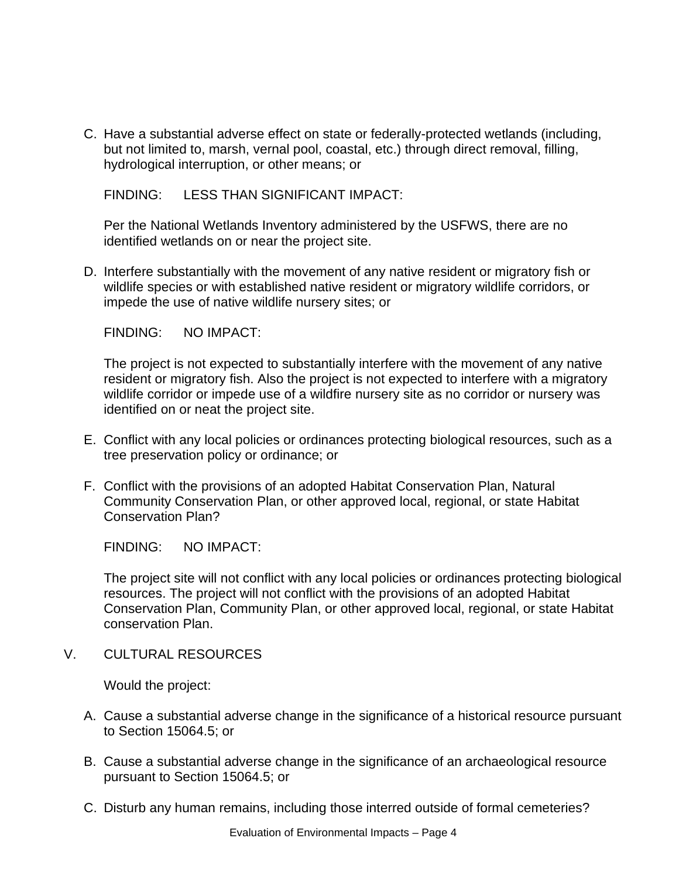C. Have a substantial adverse effect on state or federally-protected wetlands (including, but not limited to, marsh, vernal pool, coastal, etc.) through direct removal, filling, hydrological interruption, or other means; or

FINDING: LESS THAN SIGNIFICANT IMPACT:

Per the National Wetlands Inventory administered by the USFWS, there are no identified wetlands on or near the project site.

D. Interfere substantially with the movement of any native resident or migratory fish or wildlife species or with established native resident or migratory wildlife corridors, or impede the use of native wildlife nursery sites; or

FINDING: NO IMPACT:

The project is not expected to substantially interfere with the movement of any native resident or migratory fish. Also the project is not expected to interfere with a migratory wildlife corridor or impede use of a wildfire nursery site as no corridor or nursery was identified on or neat the project site.

- E. Conflict with any local policies or ordinances protecting biological resources, such as a tree preservation policy or ordinance; or
- F. Conflict with the provisions of an adopted Habitat Conservation Plan, Natural Community Conservation Plan, or other approved local, regional, or state Habitat Conservation Plan?

FINDING: NO IMPACT:

The project site will not conflict with any local policies or ordinances protecting biological resources. The project will not conflict with the provisions of an adopted Habitat Conservation Plan, Community Plan, or other approved local, regional, or state Habitat conservation Plan.

V. CULTURAL RESOURCES

- A. Cause a substantial adverse change in the significance of a historical resource pursuant to Section 15064.5; or
- B. Cause a substantial adverse change in the significance of an archaeological resource pursuant to Section 15064.5; or
- C. Disturb any human remains, including those interred outside of formal cemeteries?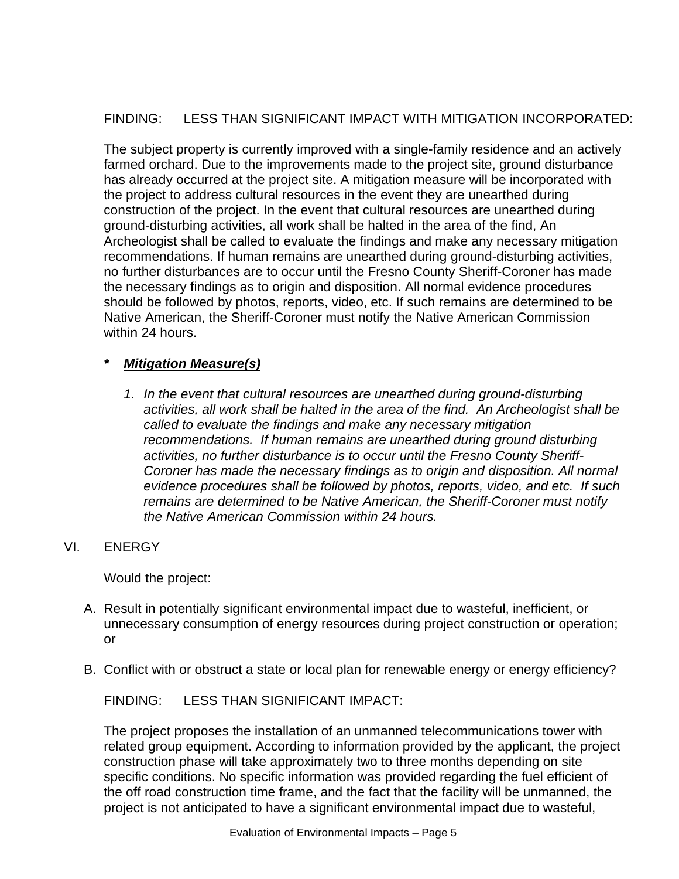## FINDING: LESS THAN SIGNIFICANT IMPACT WITH MITIGATION INCORPORATED:

The subject property is currently improved with a single-family residence and an actively farmed orchard. Due to the improvements made to the project site, ground disturbance has already occurred at the project site. A mitigation measure will be incorporated with the project to address cultural resources in the event they are unearthed during construction of the project. In the event that cultural resources are unearthed during ground-disturbing activities, all work shall be halted in the area of the find, An Archeologist shall be called to evaluate the findings and make any necessary mitigation recommendations. If human remains are unearthed during ground-disturbing activities, no further disturbances are to occur until the Fresno County Sheriff-Coroner has made the necessary findings as to origin and disposition. All normal evidence procedures should be followed by photos, reports, video, etc. If such remains are determined to be Native American, the Sheriff-Coroner must notify the Native American Commission within 24 hours.

#### *\* Mitigation Measure(s)*

*1. In the event that cultural resources are unearthed during ground-disturbing activities, all work shall be halted in the area of the find. An Archeologist shall be called to evaluate the findings and make any necessary mitigation recommendations. If human remains are unearthed during ground disturbing activities, no further disturbance is to occur until the Fresno County Sheriff-Coroner has made the necessary findings as to origin and disposition. All normal evidence procedures shall be followed by photos, reports, video, and etc. If such remains are determined to be Native American, the Sheriff-Coroner must notify the Native American Commission within 24 hours.*

#### VI. ENERGY

Would the project:

- A. Result in potentially significant environmental impact due to wasteful, inefficient, or unnecessary consumption of energy resources during project construction or operation; or
- B. Conflict with or obstruct a state or local plan for renewable energy or energy efficiency?

FINDING: LESS THAN SIGNIFICANT IMPACT:

The project proposes the installation of an unmanned telecommunications tower with related group equipment. According to information provided by the applicant, the project construction phase will take approximately two to three months depending on site specific conditions. No specific information was provided regarding the fuel efficient of the off road construction time frame, and the fact that the facility will be unmanned, the project is not anticipated to have a significant environmental impact due to wasteful,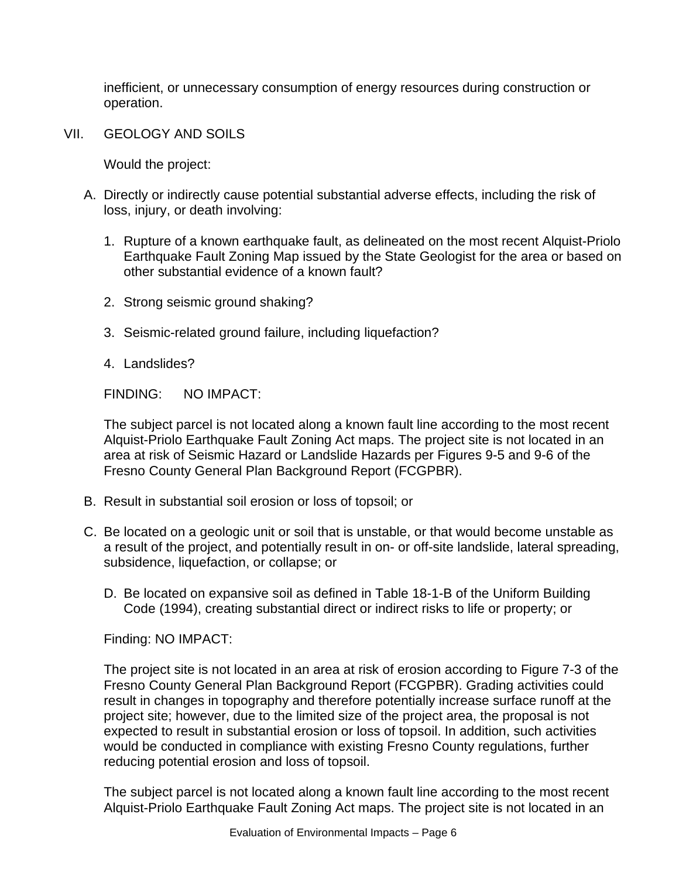inefficient, or unnecessary consumption of energy resources during construction or operation.

VII. GEOLOGY AND SOILS

Would the project:

- A. Directly or indirectly cause potential substantial adverse effects, including the risk of loss, injury, or death involving:
	- 1. Rupture of a known earthquake fault, as delineated on the most recent Alquist-Priolo Earthquake Fault Zoning Map issued by the State Geologist for the area or based on other substantial evidence of a known fault?
	- 2. Strong seismic ground shaking?
	- 3. Seismic-related ground failure, including liquefaction?
	- 4. Landslides?

FINDING: NO IMPACT:

The subject parcel is not located along a known fault line according to the most recent Alquist-Priolo Earthquake Fault Zoning Act maps. The project site is not located in an area at risk of Seismic Hazard or Landslide Hazards per Figures 9-5 and 9-6 of the Fresno County General Plan Background Report (FCGPBR).

- B. Result in substantial soil erosion or loss of topsoil; or
- C. Be located on a geologic unit or soil that is unstable, or that would become unstable as a result of the project, and potentially result in on- or off-site landslide, lateral spreading, subsidence, liquefaction, or collapse; or
	- D. Be located on expansive soil as defined in Table 18-1-B of the Uniform Building Code (1994), creating substantial direct or indirect risks to life or property; or

Finding: NO IMPACT:

The project site is not located in an area at risk of erosion according to Figure 7-3 of the Fresno County General Plan Background Report (FCGPBR). Grading activities could result in changes in topography and therefore potentially increase surface runoff at the project site; however, due to the limited size of the project area, the proposal is not expected to result in substantial erosion or loss of topsoil. In addition, such activities would be conducted in compliance with existing Fresno County regulations, further reducing potential erosion and loss of topsoil.

The subject parcel is not located along a known fault line according to the most recent Alquist-Priolo Earthquake Fault Zoning Act maps. The project site is not located in an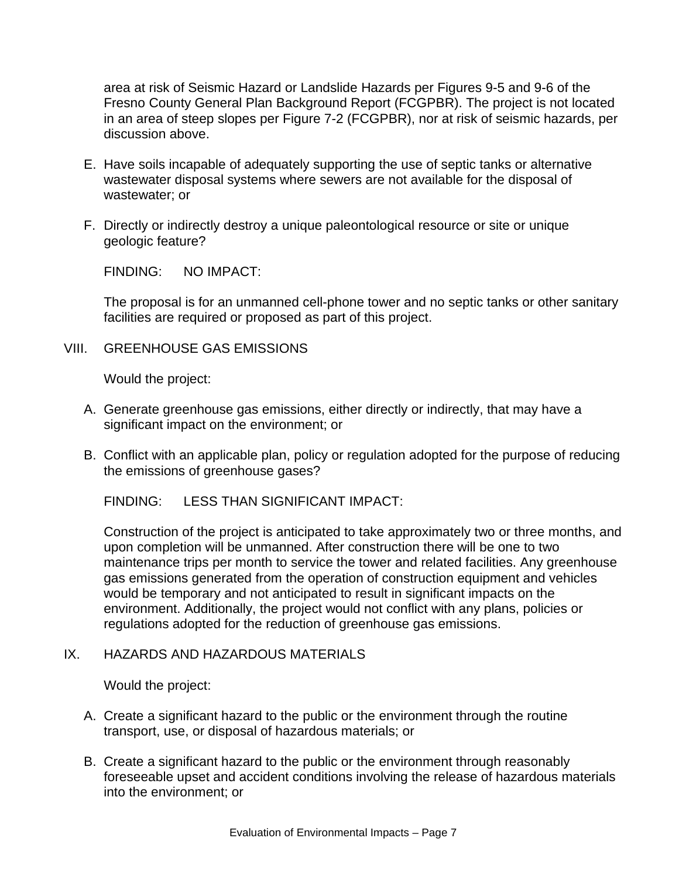area at risk of Seismic Hazard or Landslide Hazards per Figures 9-5 and 9-6 of the Fresno County General Plan Background Report (FCGPBR). The project is not located in an area of steep slopes per Figure 7-2 (FCGPBR), nor at risk of seismic hazards, per discussion above.

- E. Have soils incapable of adequately supporting the use of septic tanks or alternative wastewater disposal systems where sewers are not available for the disposal of wastewater; or
- F. Directly or indirectly destroy a unique paleontological resource or site or unique geologic feature?

FINDING: NO IMPACT:

The proposal is for an unmanned cell-phone tower and no septic tanks or other sanitary facilities are required or proposed as part of this project.

VIII. GREENHOUSE GAS EMISSIONS

Would the project:

- A. Generate greenhouse gas emissions, either directly or indirectly, that may have a significant impact on the environment; or
- B. Conflict with an applicable plan, policy or regulation adopted for the purpose of reducing the emissions of greenhouse gases?

FINDING: LESS THAN SIGNIFICANT IMPACT:

Construction of the project is anticipated to take approximately two or three months, and upon completion will be unmanned. After construction there will be one to two maintenance trips per month to service the tower and related facilities. Any greenhouse gas emissions generated from the operation of construction equipment and vehicles would be temporary and not anticipated to result in significant impacts on the environment. Additionally, the project would not conflict with any plans, policies or regulations adopted for the reduction of greenhouse gas emissions.

#### IX. HAZARDS AND HAZARDOUS MATERIALS

- A. Create a significant hazard to the public or the environment through the routine transport, use, or disposal of hazardous materials; or
- B. Create a significant hazard to the public or the environment through reasonably foreseeable upset and accident conditions involving the release of hazardous materials into the environment; or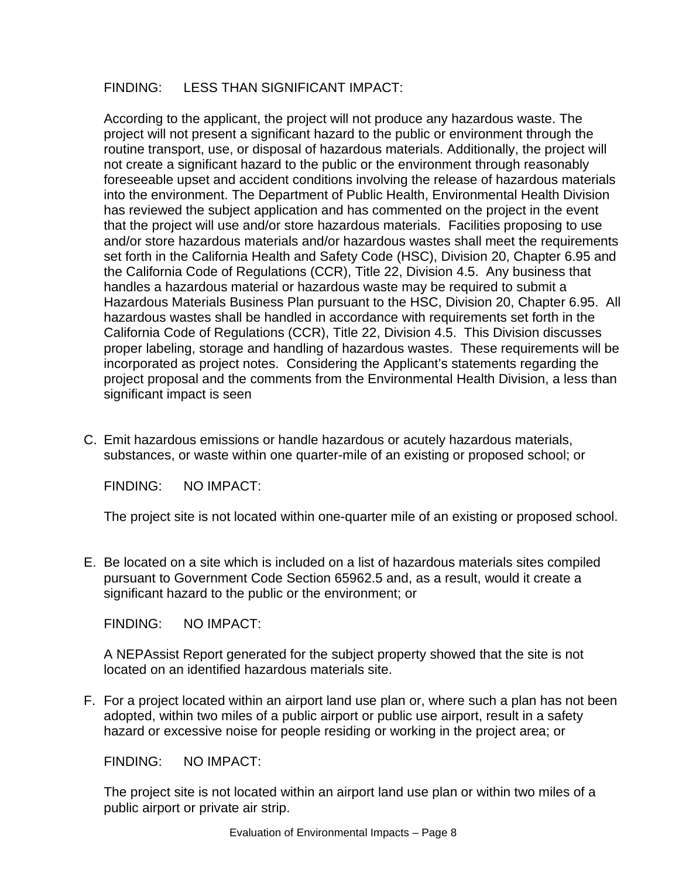#### FINDING: LESS THAN SIGNIFICANT IMPACT:

According to the applicant, the project will not produce any hazardous waste. The project will not present a significant hazard to the public or environment through the routine transport, use, or disposal of hazardous materials. Additionally, the project will not create a significant hazard to the public or the environment through reasonably foreseeable upset and accident conditions involving the release of hazardous materials into the environment. The Department of Public Health, Environmental Health Division has reviewed the subject application and has commented on the project in the event that the project will use and/or store hazardous materials. Facilities proposing to use and/or store hazardous materials and/or hazardous wastes shall meet the requirements set forth in the California Health and Safety Code (HSC), Division 20, Chapter 6.95 and the California Code of Regulations (CCR), Title 22, Division 4.5. Any business that handles a hazardous material or hazardous waste may be required to submit a Hazardous Materials Business Plan pursuant to the HSC, Division 20, Chapter 6.95. All hazardous wastes shall be handled in accordance with requirements set forth in the California Code of Regulations (CCR), Title 22, Division 4.5. This Division discusses proper labeling, storage and handling of hazardous wastes. These requirements will be incorporated as project notes. Considering the Applicant's statements regarding the project proposal and the comments from the Environmental Health Division, a less than significant impact is seen

C. Emit hazardous emissions or handle hazardous or acutely hazardous materials, substances, or waste within one quarter-mile of an existing or proposed school; or

FINDING: NO IMPACT:

The project site is not located within one-quarter mile of an existing or proposed school.

E. Be located on a site which is included on a list of hazardous materials sites compiled pursuant to Government Code Section 65962.5 and, as a result, would it create a significant hazard to the public or the environment; or

FINDING: NO IMPACT:

A NEPAssist Report generated for the subject property showed that the site is not located on an identified hazardous materials site.

F. For a project located within an airport land use plan or, where such a plan has not been adopted, within two miles of a public airport or public use airport, result in a safety hazard or excessive noise for people residing or working in the project area; or

FINDING: NO IMPACT:

The project site is not located within an airport land use plan or within two miles of a public airport or private air strip.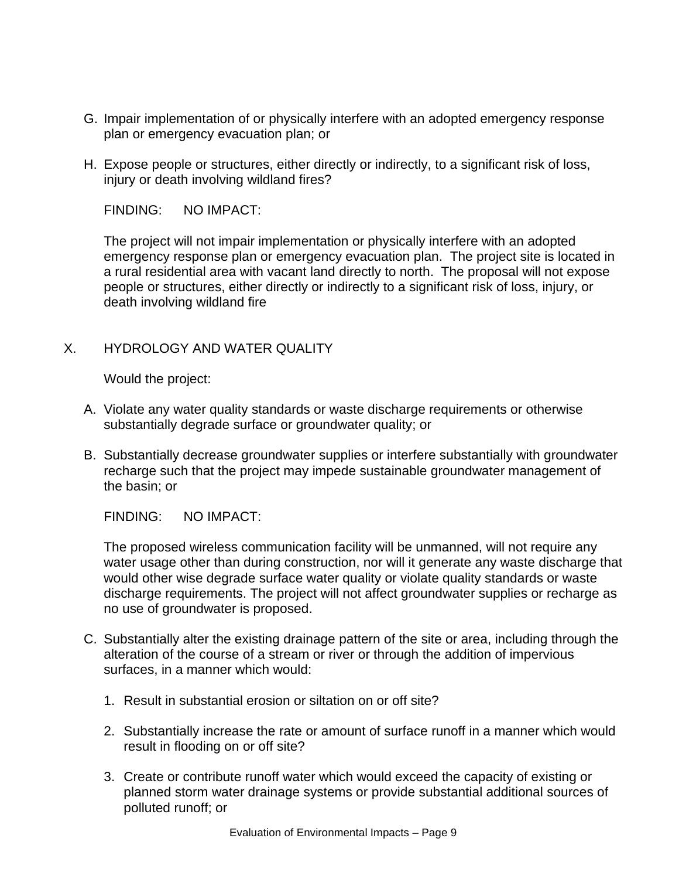- G. Impair implementation of or physically interfere with an adopted emergency response plan or emergency evacuation plan; or
- H. Expose people or structures, either directly or indirectly, to a significant risk of loss, injury or death involving wildland fires?

FINDING: NO IMPACT:

The project will not impair implementation or physically interfere with an adopted emergency response plan or emergency evacuation plan. The project site is located in a rural residential area with vacant land directly to north. The proposal will not expose people or structures, either directly or indirectly to a significant risk of loss, injury, or death involving wildland fire

#### X. HYDROLOGY AND WATER QUALITY

Would the project:

- A. Violate any water quality standards or waste discharge requirements or otherwise substantially degrade surface or groundwater quality; or
- B. Substantially decrease groundwater supplies or interfere substantially with groundwater recharge such that the project may impede sustainable groundwater management of the basin; or

FINDING: NO IMPACT:

The proposed wireless communication facility will be unmanned, will not require any water usage other than during construction, nor will it generate any waste discharge that would other wise degrade surface water quality or violate quality standards or waste discharge requirements. The project will not affect groundwater supplies or recharge as no use of groundwater is proposed.

- C. Substantially alter the existing drainage pattern of the site or area, including through the alteration of the course of a stream or river or through the addition of impervious surfaces, in a manner which would:
	- 1. Result in substantial erosion or siltation on or off site?
	- 2. Substantially increase the rate or amount of surface runoff in a manner which would result in flooding on or off site?
	- 3. Create or contribute runoff water which would exceed the capacity of existing or planned storm water drainage systems or provide substantial additional sources of polluted runoff; or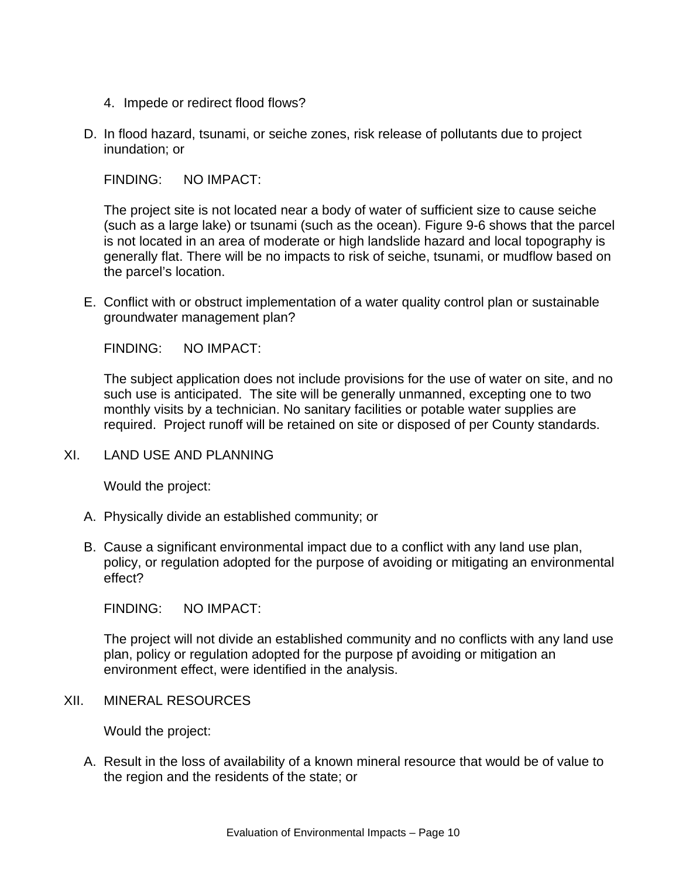- 4. Impede or redirect flood flows?
- D. In flood hazard, tsunami, or seiche zones, risk release of pollutants due to project inundation; or

FINDING: NO IMPACT:

The project site is not located near a body of water of sufficient size to cause seiche (such as a large lake) or tsunami (such as the ocean). Figure 9-6 shows that the parcel is not located in an area of moderate or high landslide hazard and local topography is generally flat. There will be no impacts to risk of seiche, tsunami, or mudflow based on the parcel's location.

E. Conflict with or obstruct implementation of a water quality control plan or sustainable groundwater management plan?

FINDING: NO IMPACT:

The subject application does not include provisions for the use of water on site, and no such use is anticipated. The site will be generally unmanned, excepting one to two monthly visits by a technician. No sanitary facilities or potable water supplies are required. Project runoff will be retained on site or disposed of per County standards.

XI. LAND USE AND PLANNING

Would the project:

- A. Physically divide an established community; or
- B. Cause a significant environmental impact due to a conflict with any land use plan, policy, or regulation adopted for the purpose of avoiding or mitigating an environmental effect?

FINDING: NO IMPACT:

The project will not divide an established community and no conflicts with any land use plan, policy or regulation adopted for the purpose pf avoiding or mitigation an environment effect, were identified in the analysis.

XII. MINERAL RESOURCES

Would the project:

A. Result in the loss of availability of a known mineral resource that would be of value to the region and the residents of the state; or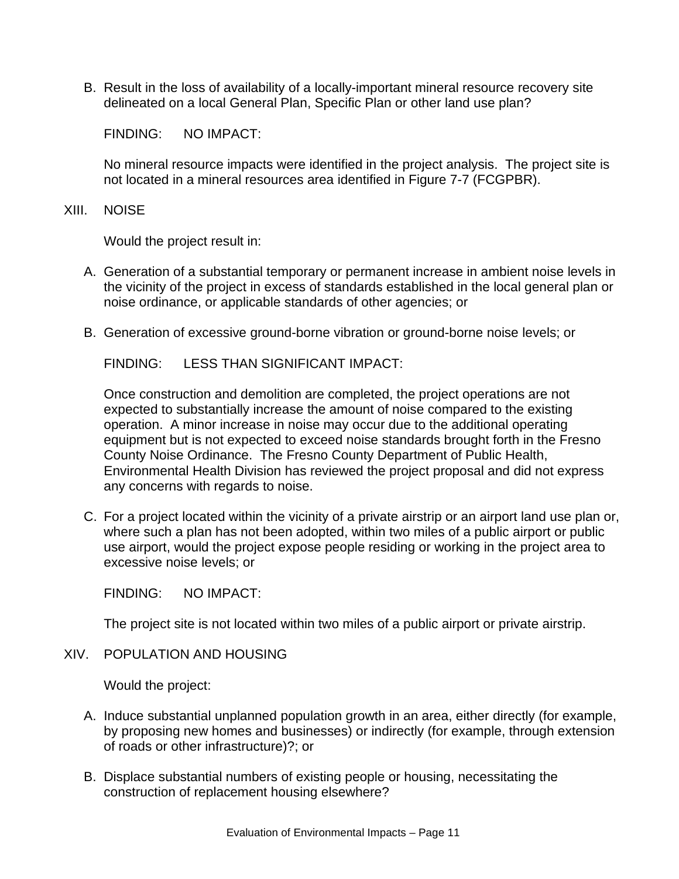B. Result in the loss of availability of a locally-important mineral resource recovery site delineated on a local General Plan, Specific Plan or other land use plan?

FINDING: NO IMPACT:

No mineral resource impacts were identified in the project analysis. The project site is not located in a mineral resources area identified in Figure 7-7 (FCGPBR).

XIII. NOISE

Would the project result in:

- A. Generation of a substantial temporary or permanent increase in ambient noise levels in the vicinity of the project in excess of standards established in the local general plan or noise ordinance, or applicable standards of other agencies; or
- B. Generation of excessive ground-borne vibration or ground-borne noise levels; or

FINDING: LESS THAN SIGNIFICANT IMPACT:

Once construction and demolition are completed, the project operations are not expected to substantially increase the amount of noise compared to the existing operation. A minor increase in noise may occur due to the additional operating equipment but is not expected to exceed noise standards brought forth in the Fresno County Noise Ordinance. The Fresno County Department of Public Health, Environmental Health Division has reviewed the project proposal and did not express any concerns with regards to noise.

C. For a project located within the vicinity of a private airstrip or an airport land use plan or, where such a plan has not been adopted, within two miles of a public airport or public use airport, would the project expose people residing or working in the project area to excessive noise levels; or

FINDING: NO IMPACT:

The project site is not located within two miles of a public airport or private airstrip.

XIV. POPULATION AND HOUSING

- A. Induce substantial unplanned population growth in an area, either directly (for example, by proposing new homes and businesses) or indirectly (for example, through extension of roads or other infrastructure)?; or
- B. Displace substantial numbers of existing people or housing, necessitating the construction of replacement housing elsewhere?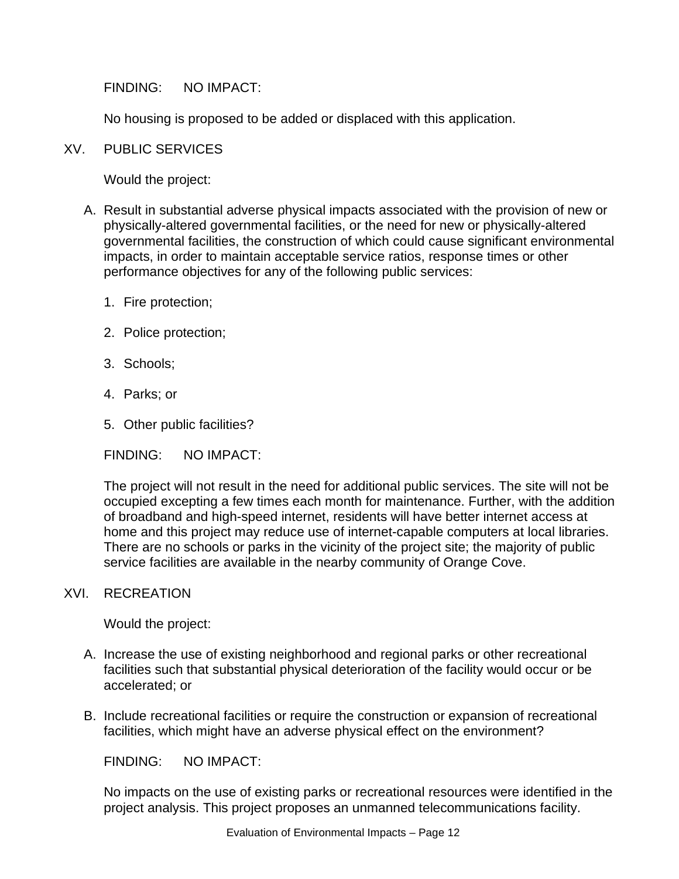FINDING: NO IMPACT:

No housing is proposed to be added or displaced with this application.

#### XV. PUBLIC SERVICES

Would the project:

- A. Result in substantial adverse physical impacts associated with the provision of new or physically-altered governmental facilities, or the need for new or physically-altered governmental facilities, the construction of which could cause significant environmental impacts, in order to maintain acceptable service ratios, response times or other performance objectives for any of the following public services:
	- 1. Fire protection;
	- 2. Police protection;
	- 3. Schools;
	- 4. Parks; or
	- 5. Other public facilities?

FINDING: NO IMPACT:

The project will not result in the need for additional public services. The site will not be occupied excepting a few times each month for maintenance. Further, with the addition of broadband and high-speed internet, residents will have better internet access at home and this project may reduce use of internet-capable computers at local libraries. There are no schools or parks in the vicinity of the project site; the majority of public service facilities are available in the nearby community of Orange Cove.

#### XVI. RECREATION

Would the project:

- A. Increase the use of existing neighborhood and regional parks or other recreational facilities such that substantial physical deterioration of the facility would occur or be accelerated; or
- B. Include recreational facilities or require the construction or expansion of recreational facilities, which might have an adverse physical effect on the environment?

FINDING: NO IMPACT:

No impacts on the use of existing parks or recreational resources were identified in the project analysis. This project proposes an unmanned telecommunications facility.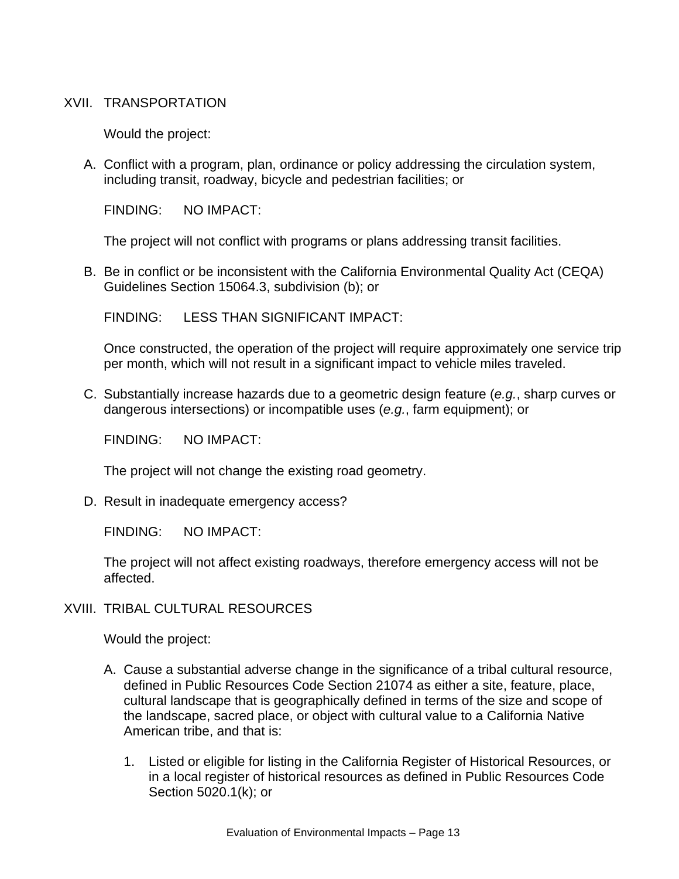#### XVII. TRANSPORTATION

Would the project:

A. Conflict with a program, plan, ordinance or policy addressing the circulation system, including transit, roadway, bicycle and pedestrian facilities; or

FINDING: NO IMPACT:

The project will not conflict with programs or plans addressing transit facilities.

B. Be in conflict or be inconsistent with the California Environmental Quality Act (CEQA) Guidelines Section 15064.3, subdivision (b); or

FINDING: LESS THAN SIGNIFICANT IMPACT:

Once constructed, the operation of the project will require approximately one service trip per month, which will not result in a significant impact to vehicle miles traveled.

C. Substantially increase hazards due to a geometric design feature (*e.g.*, sharp curves or dangerous intersections) or incompatible uses (*e.g.*, farm equipment); or

FINDING: NO IMPACT:

The project will not change the existing road geometry.

D. Result in inadequate emergency access?

FINDING: NO IMPACT:

The project will not affect existing roadways, therefore emergency access will not be affected.

XVIII. TRIBAL CULTURAL RESOURCES

- A. Cause a substantial adverse change in the significance of a tribal cultural resource, defined in Public Resources Code Section 21074 as either a site, feature, place, cultural landscape that is geographically defined in terms of the size and scope of the landscape, sacred place, or object with cultural value to a California Native American tribe, and that is:
	- 1. Listed or eligible for listing in the California Register of Historical Resources, or in a local register of historical resources as defined in Public Resources Code Section 5020.1(k); or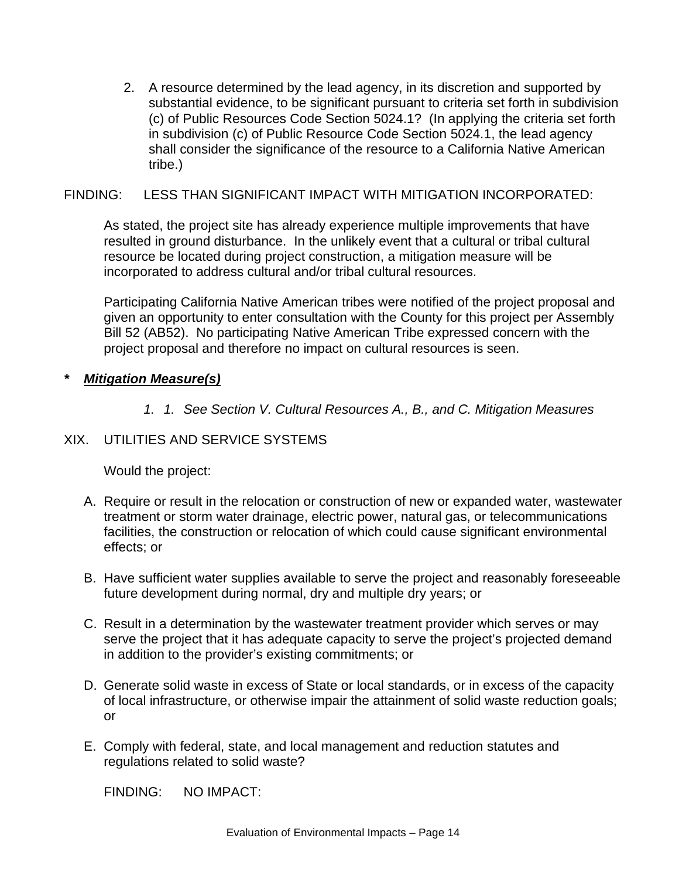2. A resource determined by the lead agency, in its discretion and supported by substantial evidence, to be significant pursuant to criteria set forth in subdivision (c) of Public Resources Code Section 5024.1? (In applying the criteria set forth in subdivision (c) of Public Resource Code Section 5024.1, the lead agency shall consider the significance of the resource to a California Native American tribe.)

#### FINDING: LESS THAN SIGNIFICANT IMPACT WITH MITIGATION INCORPORATED:

As stated, the project site has already experience multiple improvements that have resulted in ground disturbance. In the unlikely event that a cultural or tribal cultural resource be located during project construction, a mitigation measure will be incorporated to address cultural and/or tribal cultural resources.

Participating California Native American tribes were notified of the project proposal and given an opportunity to enter consultation with the County for this project per Assembly Bill 52 (AB52). No participating Native American Tribe expressed concern with the project proposal and therefore no impact on cultural resources is seen.

#### *\* Mitigation Measure(s)*

*1. 1. See Section V. Cultural Resources A., B., and C. Mitigation Measures* 

### XIX. UTILITIES AND SERVICE SYSTEMS

Would the project:

- A. Require or result in the relocation or construction of new or expanded water, wastewater treatment or storm water drainage, electric power, natural gas, or telecommunications facilities, the construction or relocation of which could cause significant environmental effects; or
- B. Have sufficient water supplies available to serve the project and reasonably foreseeable future development during normal, dry and multiple dry years; or
- C. Result in a determination by the wastewater treatment provider which serves or may serve the project that it has adequate capacity to serve the project's projected demand in addition to the provider's existing commitments; or
- D. Generate solid waste in excess of State or local standards, or in excess of the capacity of local infrastructure, or otherwise impair the attainment of solid waste reduction goals; or
- E. Comply with federal, state, and local management and reduction statutes and regulations related to solid waste?

FINDING: NO IMPACT: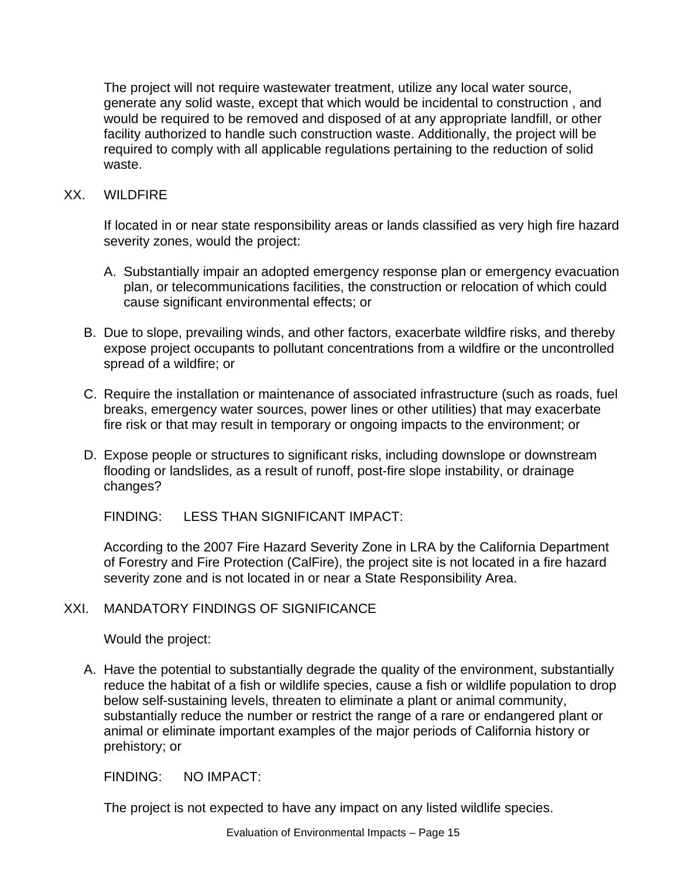The project will not require wastewater treatment, utilize any local water source, generate any solid waste, except that which would be incidental to construction , and would be required to be removed and disposed of at any appropriate landfill, or other facility authorized to handle such construction waste. Additionally, the project will be required to comply with all applicable regulations pertaining to the reduction of solid waste.

#### XX. WILDFIRE

If located in or near state responsibility areas or lands classified as very high fire hazard severity zones, would the project:

- A. Substantially impair an adopted emergency response plan or emergency evacuation plan, or telecommunications facilities, the construction or relocation of which could cause significant environmental effects; or
- B. Due to slope, prevailing winds, and other factors, exacerbate wildfire risks, and thereby expose project occupants to pollutant concentrations from a wildfire or the uncontrolled spread of a wildfire; or
- C. Require the installation or maintenance of associated infrastructure (such as roads, fuel breaks, emergency water sources, power lines or other utilities) that may exacerbate fire risk or that may result in temporary or ongoing impacts to the environment; or
- D. Expose people or structures to significant risks, including downslope or downstream flooding or landslides, as a result of runoff, post-fire slope instability, or drainage changes?

FINDING: LESS THAN SIGNIFICANT IMPACT:

According to the 2007 Fire Hazard Severity Zone in LRA by the California Department of Forestry and Fire Protection (CalFire), the project site is not located in a fire hazard severity zone and is not located in or near a State Responsibility Area.

#### XXI. MANDATORY FINDINGS OF SIGNIFICANCE

Would the project:

A. Have the potential to substantially degrade the quality of the environment, substantially reduce the habitat of a fish or wildlife species, cause a fish or wildlife population to drop below self-sustaining levels, threaten to eliminate a plant or animal community, substantially reduce the number or restrict the range of a rare or endangered plant or animal or eliminate important examples of the major periods of California history or prehistory; or

FINDING: NO IMPACT:

The project is not expected to have any impact on any listed wildlife species.